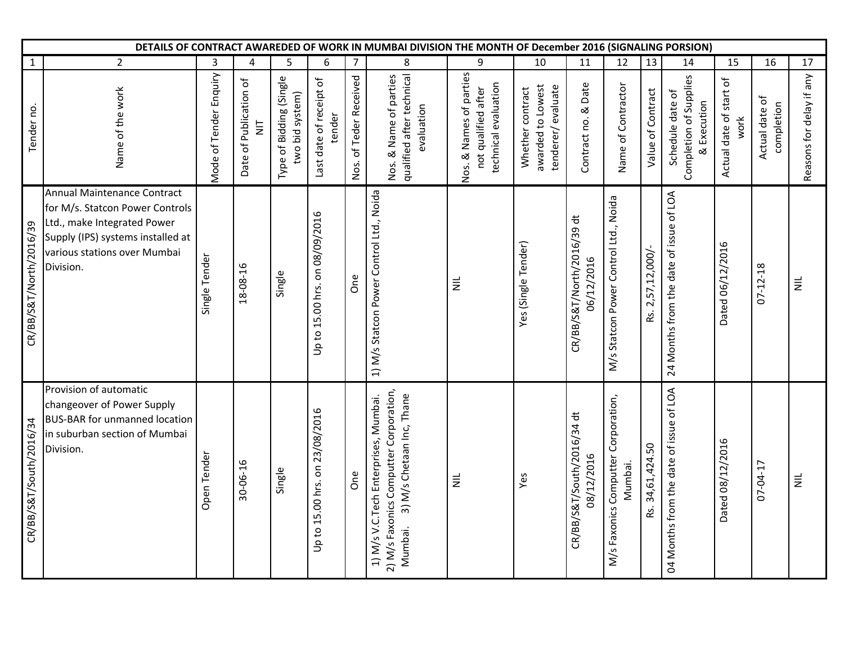|                         | DETAILS OF CONTRACT AWAREDED OF WORK IN MUMBAI DIVISION THE MONTH OF December 2016 (SIGNALING PORSION)                                                                          |                        |                                          |                                            |                                   |                        |                                                                                                                         |                                                                        |                                                            |                                          |                                                |                     |                                                           |                                 |                              |                          |
|-------------------------|---------------------------------------------------------------------------------------------------------------------------------------------------------------------------------|------------------------|------------------------------------------|--------------------------------------------|-----------------------------------|------------------------|-------------------------------------------------------------------------------------------------------------------------|------------------------------------------------------------------------|------------------------------------------------------------|------------------------------------------|------------------------------------------------|---------------------|-----------------------------------------------------------|---------------------------------|------------------------------|--------------------------|
| 1                       | $\overline{2}$                                                                                                                                                                  | 3                      | $\overline{4}$                           | 5                                          | 6                                 | $\overline{7}$         | 8                                                                                                                       | 9                                                                      | $10\,$                                                     | 11                                       | 12                                             | 13                  | 14                                                        | 15                              | 16                           | 17                       |
| Tender no.              | Name of the work                                                                                                                                                                | Mode of Tender Enquiry | Date of Publication of<br>$\overline{z}$ | Type of Bidding (Single<br>two bid system) | Last date of receipt of<br>tender | Nos. of Teder Received | qualified after technical<br>Nos. & Name of parties<br>evaluation                                                       | Nos. & Names of parties<br>technical evaluation<br>not qualified after | tenderer/evaluate<br>awarded to Lowest<br>Whether contract | Contract no. & Date                      | Name of Contractor                             | Value of Contract   | Completion of Supplies<br>Schedule date of<br>& Execution | Actual date of start of<br>work | Actual date of<br>completion | Reasons for delay if any |
| CR/BB/S&T/North/2016/39 | Annual Maintenance Contract<br>for M/s. Statcon Power Controls<br>Ltd., make Integrated Power<br>Supply (IPS) systems installed at<br>various stations over Mumbai<br>Division. | Single Tender          | 18-08-16                                 | Single                                     | Up to 15.00 hrs. on 08/09/2016    | One                    | 1) M/s Statcon Power Control Ltd., Noida                                                                                | $\equiv$                                                               | Yes (Single Tender)                                        | CR/BB/S&T/North/2016/39 dt<br>06/12/2016 | M/s Statcon Power Control Ltd., Noida          | Rs. 2,57,12,000/-   | 24 Months from the date of issue of LOA                   | Dated 06/12/2016                | $07 - 12 - 18$               | $\equiv$                 |
| CR/BB/S&T/South/2016/34 | Provision of automatic<br>changeover of Power Supply<br><b>BUS-BAR for unmanned location</b><br>in suburban section of Mumbai<br>Division.                                      | Open Tender            | 30-06-16                                 | Single                                     | Up to 15.00 hrs. on 23/08/2016    | <b>One</b>             | 2) M/s Faxonics Computter Corporation,<br>3) M/s Chetaan Inc, Thane<br>1) M/s V.C. Tech Enterprises, Mumbai.<br>Mumbai. | $\equiv$                                                               | Yes                                                        | CR/BB/S&T/South/2016/34 dt<br>08/12/2016 | M/s Faxonics Computter Corporation,<br>Mumbai. | 34,61,424.50<br>Rs. | 04 Months from the date of issue of LOA                   | Dated 08/12/2016                | 07-04-17                     | $\equiv$                 |